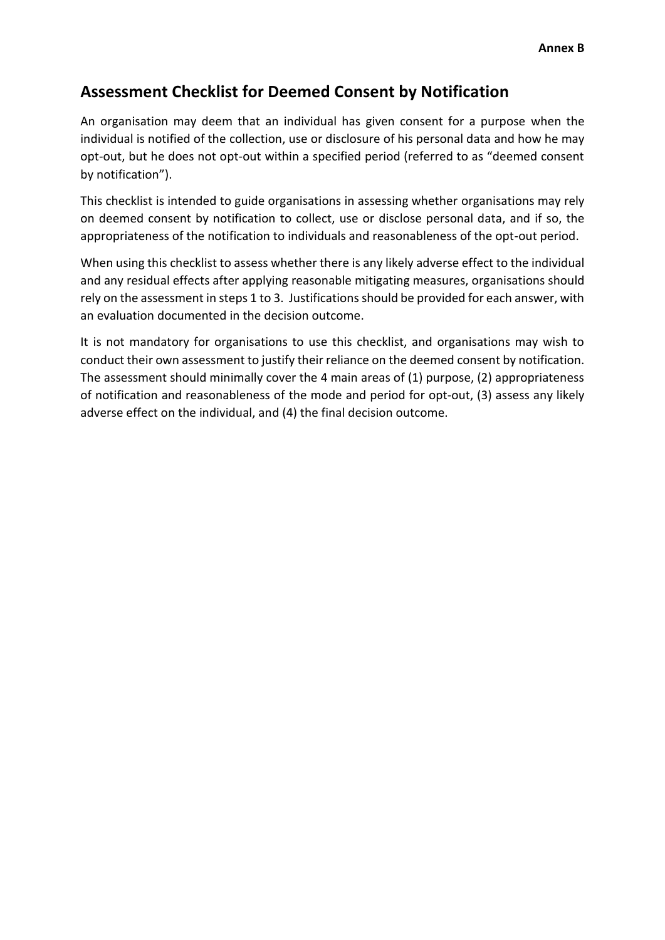## **Assessment Checklist for Deemed Consent by Notification**

An organisation may deem that an individual has given consent for a purpose when the individual is notified of the collection, use or disclosure of his personal data and how he may opt-out, but he does not opt-out within a specified period (referred to as "deemed consent by notification").

This checklist is intended to guide organisations in assessing whether organisations may rely on deemed consent by notification to collect, use or disclose personal data, and if so, the appropriateness of the notification to individuals and reasonableness of the opt-out period.

When using this checklist to assess whether there is any likely adverse effect to the individual and any residual effects after applying reasonable mitigating measures, organisations should rely on the assessment in steps 1 to 3. Justifications should be provided for each answer, with an evaluation documented in the decision outcome.

It is not mandatory for organisations to use this checklist, and organisations may wish to conduct their own assessment to justify their reliance on the deemed consent by notification. The assessment should minimally cover the 4 main areas of (1) purpose, (2) appropriateness of notification and reasonableness of the mode and period for opt-out, (3) assess any likely adverse effect on the individual, and (4) the final decision outcome.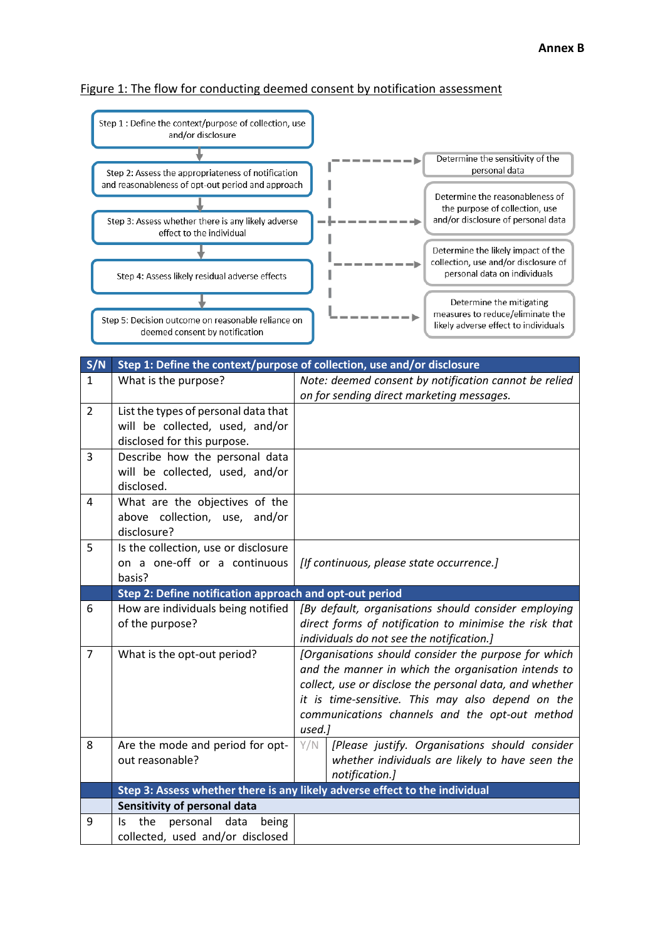## Figure 1: The flow for conducting deemed consent by notification assessment

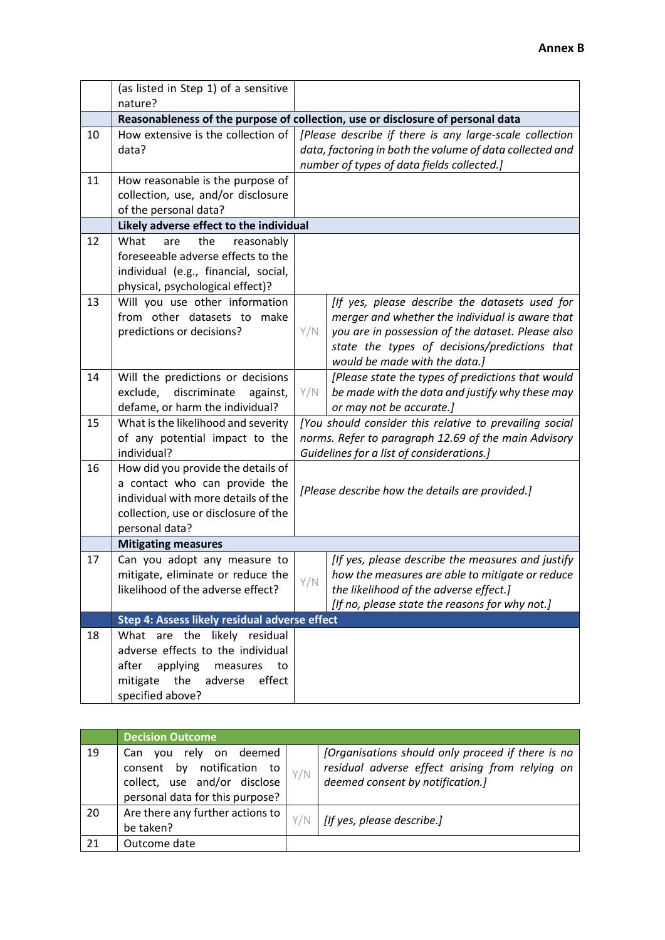|    | (as listed in Step 1) of a sensitive                                                                                                                                 |                                                                                                                                                                   |                                                                                                                                                                                                                                          |  |  |  |
|----|----------------------------------------------------------------------------------------------------------------------------------------------------------------------|-------------------------------------------------------------------------------------------------------------------------------------------------------------------|------------------------------------------------------------------------------------------------------------------------------------------------------------------------------------------------------------------------------------------|--|--|--|
|    | nature?                                                                                                                                                              |                                                                                                                                                                   |                                                                                                                                                                                                                                          |  |  |  |
|    | Reasonableness of the purpose of collection, use or disclosure of personal data                                                                                      |                                                                                                                                                                   |                                                                                                                                                                                                                                          |  |  |  |
| 10 | How extensive is the collection of<br>data?                                                                                                                          | [Please describe if there is any large-scale collection<br>data, factoring in both the volume of data collected and<br>number of types of data fields collected.] |                                                                                                                                                                                                                                          |  |  |  |
| 11 | How reasonable is the purpose of<br>collection, use, and/or disclosure<br>of the personal data?                                                                      |                                                                                                                                                                   |                                                                                                                                                                                                                                          |  |  |  |
|    | Likely adverse effect to the individual                                                                                                                              |                                                                                                                                                                   |                                                                                                                                                                                                                                          |  |  |  |
| 12 | What<br>the<br>reasonably<br>are<br>foreseeable adverse effects to the<br>individual (e.g., financial, social,<br>physical, psychological effect)?                   |                                                                                                                                                                   |                                                                                                                                                                                                                                          |  |  |  |
| 13 | Will you use other information<br>from other datasets to make<br>predictions or decisions?                                                                           | Y/N                                                                                                                                                               | [If yes, please describe the datasets used for<br>merger and whether the individual is aware that<br>you are in possession of the dataset. Please also<br>state the types of decisions/predictions that<br>would be made with the data.] |  |  |  |
| 14 | Will the predictions or decisions<br>discriminate<br>exclude,<br>against,<br>defame, or harm the individual?                                                         | Y/N                                                                                                                                                               | [Please state the types of predictions that would<br>be made with the data and justify why these may<br>or may not be accurate.]                                                                                                         |  |  |  |
| 15 | What is the likelihood and severity<br>of any potential impact to the<br>individual?                                                                                 |                                                                                                                                                                   | [You should consider this relative to prevailing social<br>norms. Refer to paragraph 12.69 of the main Advisory<br>Guidelines for a list of considerations.]                                                                             |  |  |  |
| 16 | How did you provide the details of<br>a contact who can provide the<br>individual with more details of the<br>collection, use or disclosure of the<br>personal data? | [Please describe how the details are provided.]                                                                                                                   |                                                                                                                                                                                                                                          |  |  |  |
|    | <b>Mitigating measures</b>                                                                                                                                           |                                                                                                                                                                   |                                                                                                                                                                                                                                          |  |  |  |
| 17 | Can you adopt any measure to<br>mitigate, eliminate or reduce the<br>likelihood of the adverse effect?                                                               | Y/N                                                                                                                                                               | [If yes, please describe the measures and justify<br>how the measures are able to mitigate or reduce<br>the likelihood of the adverse effect.]<br>[If no, please state the reasons for why not.]                                         |  |  |  |
|    | Step 4: Assess likely residual adverse effect                                                                                                                        |                                                                                                                                                                   |                                                                                                                                                                                                                                          |  |  |  |
| 18 | What are the likely residual<br>adverse effects to the individual<br>after<br>applying<br>measures<br>to<br>mitigate the<br>adverse<br>effect<br>specified above?    |                                                                                                                                                                   |                                                                                                                                                                                                                                          |  |  |  |

|    | <b>Decision Outcome</b>                                                                                                          |     |                                                                                                                                          |
|----|----------------------------------------------------------------------------------------------------------------------------------|-----|------------------------------------------------------------------------------------------------------------------------------------------|
| 19 | rely<br>on deemed<br>Can<br>vou<br>consent by notification to<br>collect, use and/or disclose<br>personal data for this purpose? | Y/N | [Organisations should only proceed if there is no<br>residual adverse effect arising from relying on<br>deemed consent by notification.] |
| 20 | Are there any further actions to<br>be taken?                                                                                    | Y/N | [If yes, please describe.]                                                                                                               |
| 21 | Outcome date                                                                                                                     |     |                                                                                                                                          |